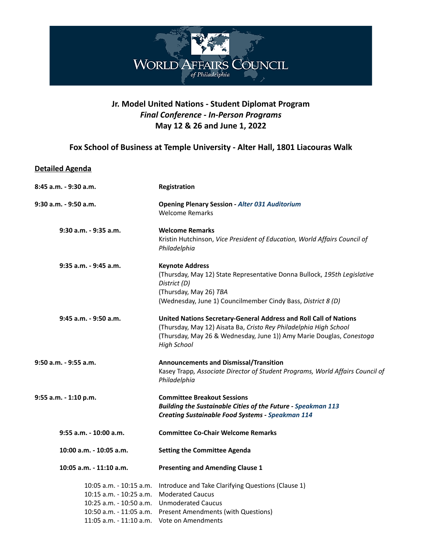

## **Jr. Model United Nations - Student Diplomat Program** *Final Conference - In-Person Programs* **May 12 & 26 and June 1, 2022**

## **Fox School of Business at Temple University - Alter Hall, 1801 Liacouras Walk**

## **Detailed Agenda**

| 8:45 a.m. - 9:30 a.m.                                                                                                                   | Registration                                                                                                                                                                                                                         |
|-----------------------------------------------------------------------------------------------------------------------------------------|--------------------------------------------------------------------------------------------------------------------------------------------------------------------------------------------------------------------------------------|
| 9:30 a.m. - 9:50 a.m.                                                                                                                   | <b>Opening Plenary Session - Alter 031 Auditorium</b><br><b>Welcome Remarks</b>                                                                                                                                                      |
| 9:30 a.m. - 9:35 a.m.                                                                                                                   | <b>Welcome Remarks</b><br>Kristin Hutchinson, Vice President of Education, World Affairs Council of<br>Philadelphia                                                                                                                  |
| 9:35 a.m. - 9:45 a.m.                                                                                                                   | <b>Keynote Address</b><br>(Thursday, May 12) State Representative Donna Bullock, 195th Legislative<br>District (D)<br>(Thursday, May 26) TBA<br>(Wednesday, June 1) Councilmember Cindy Bass, District 8 (D)                         |
| 9:45 a.m. - 9:50 a.m.                                                                                                                   | United Nations Secretary-General Address and Roll Call of Nations<br>(Thursday, May 12) Aisata Ba, Cristo Rey Philadelphia High School<br>(Thursday, May 26 & Wednesday, June 1)) Amy Marie Douglas, Conestoga<br><b>High School</b> |
| $9:50$ a.m. - $9:55$ a.m.                                                                                                               | <b>Announcements and Dismissal/Transition</b><br>Kasey Trapp, Associate Director of Student Programs, World Affairs Council of<br>Philadelphia                                                                                       |
| 9:55 a.m. - 1:10 p.m.                                                                                                                   | <b>Committee Breakout Sessions</b><br><b>Building the Sustainable Cities of the Future - Speakman 113</b><br><b>Creating Sustainable Food Systems - Speakman 114</b>                                                                 |
| $9:55$ a.m. $-10:00$ a.m.                                                                                                               | <b>Committee Co-Chair Welcome Remarks</b>                                                                                                                                                                                            |
| 10:00 a.m. - 10:05 a.m.                                                                                                                 | <b>Setting the Committee Agenda</b>                                                                                                                                                                                                  |
| 10:05 a.m. - 11:10 a.m.                                                                                                                 | <b>Presenting and Amending Clause 1</b>                                                                                                                                                                                              |
| 10:05 a.m. - 10:15 a.m.<br>$10:15$ a.m. - $10:25$ a.m.<br>10:25 a.m. - 10:50 a.m.<br>10:50 a.m. - 11:05 a.m.<br>11:05 a.m. - 11:10 a.m. | Introduce and Take Clarifying Questions (Clause 1)<br><b>Moderated Caucus</b><br><b>Unmoderated Caucus</b><br><b>Present Amendments (with Questions)</b><br>Vote on Amendments                                                       |